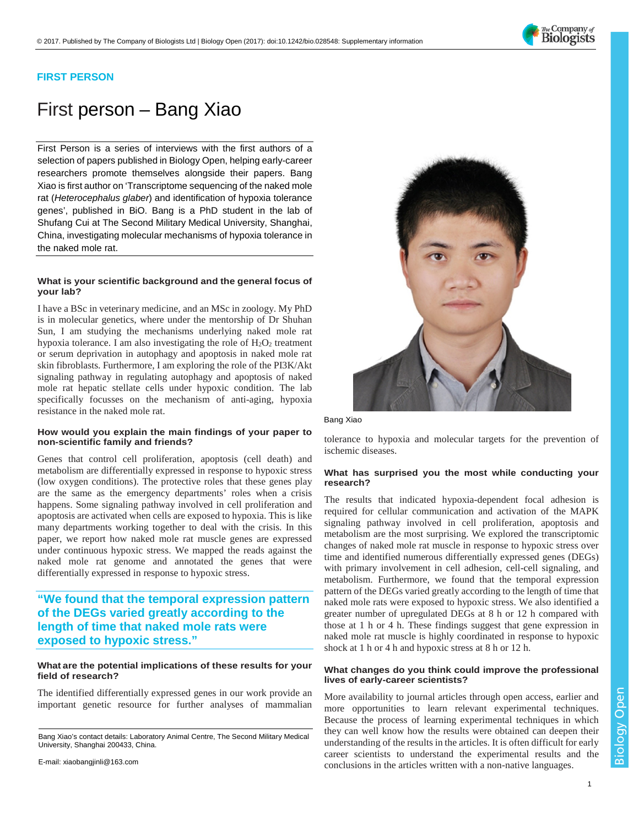

## **FIRST PERSON**

# First person – Bang Xiao

First Person is a series of interviews with the first authors of a selection of papers published in Biology Open, helping early-career researchers promote themselves alongside their papers. Bang Xiao is first author on ['Transcriptome sequencing of the naked mole](http://doi.org/10.1242/bio.028548)  rat (*Heterocephalus glaber*[\) and identification of hypoxia tolerance](http://doi.org/10.1242/bio.028548)  [genes',](http://doi.org/10.1242/bio.028548) published in BiO. Bang is a PhD student in the lab of Shufang Cui at The Second Military Medical University, Shanghai, China, investigating molecular mechanisms of hypoxia tolerance in the naked mole rat.

#### **What is your scientific background and the general focus of your lab?**

I have a BSc in veterinary medicine, and an MSc in zoology. My PhD is in molecular genetics, where under the mentorship of Dr Shuhan Sun, I am studying the mechanisms underlying naked mole rat hypoxia tolerance. I am also investigating the role of  $H_2O_2$  treatment or serum deprivation in autophagy and apoptosis in naked mole rat skin fibroblasts. Furthermore, I am exploring the role of the PI3K/Akt signaling pathway in regulating autophagy and apoptosis of naked mole rat hepatic stellate cells under hypoxic condition. The lab specifically focusses on the mechanism of anti-aging, hypoxia resistance in the naked mole rat.

#### **How would you explain the main findings of your paper to non-scientific family and friends?**

Genes that control cell proliferation, apoptosis (cell death) and metabolism are differentially expressed in response to hypoxic stress (low oxygen conditions). The protective roles that these genes play are the same as the emergency departments' roles when a crisis happens. Some signaling pathway involved in cell proliferation and apoptosis are activated when cells are exposed to hypoxia. This is like many departments working together to deal with the crisis. In this paper, we report how naked mole rat muscle genes are expressed under continuous hypoxic stress. We mapped the reads against the naked mole rat genome and annotated the genes that were differentially expressed in response to hypoxic stress.

**"We found that the temporal expression pattern of the DEGs varied greatly according to the length of time that naked mole rats were exposed to hypoxic stress."**

#### **What are the potential implications of these results for your field of research?**

The identified differentially expressed genes in our work provide an important genetic resource for further analyses of mammalian

E-mail[: xiaobangjinli@163.com](mailto:xiaobangjinli@163.com)



Bang Xiao

tolerance to hypoxia and molecular targets for the prevention of ischemic diseases.

#### **What has surprised you the most while conducting your research?**

The results that indicated hypoxia-dependent focal adhesion is required for cellular communication and activation of the MAPK signaling pathway involved in cell proliferation, apoptosis and metabolism are the most surprising. We explored the transcriptomic changes of naked mole rat muscle in response to hypoxic stress over time and identified numerous differentially expressed genes (DEGs) with primary involvement in cell adhesion, cell-cell signaling, and metabolism. Furthermore, we found that the temporal expression pattern of the DEGs varied greatly according to the length of time that naked mole rats were exposed to hypoxic stress. We also identified a greater number of upregulated DEGs at 8 h or 12 h compared with those at 1 h or 4 h. These findings suggest that gene expression in naked mole rat muscle is highly coordinated in response to hypoxic shock at 1 h or 4 h and hypoxic stress at 8 h or 12 h.

#### **What changes do you think could improve the professional lives of early-career scientists?**

More availability to journal articles through open access, earlier and more opportunities to learn relevant experimental techniques. Because the process of learning experimental techniques in which they can well know how the results were obtained can deepen their understanding of the results in the articles. It is often difficult for early career scientists to understand the experimental results and the conclusions in the articles written with a non-native languages.

Bang Xiao's contact details: Laboratory Animal Centre, The Second Military Medical University, Shanghai 200433, China.